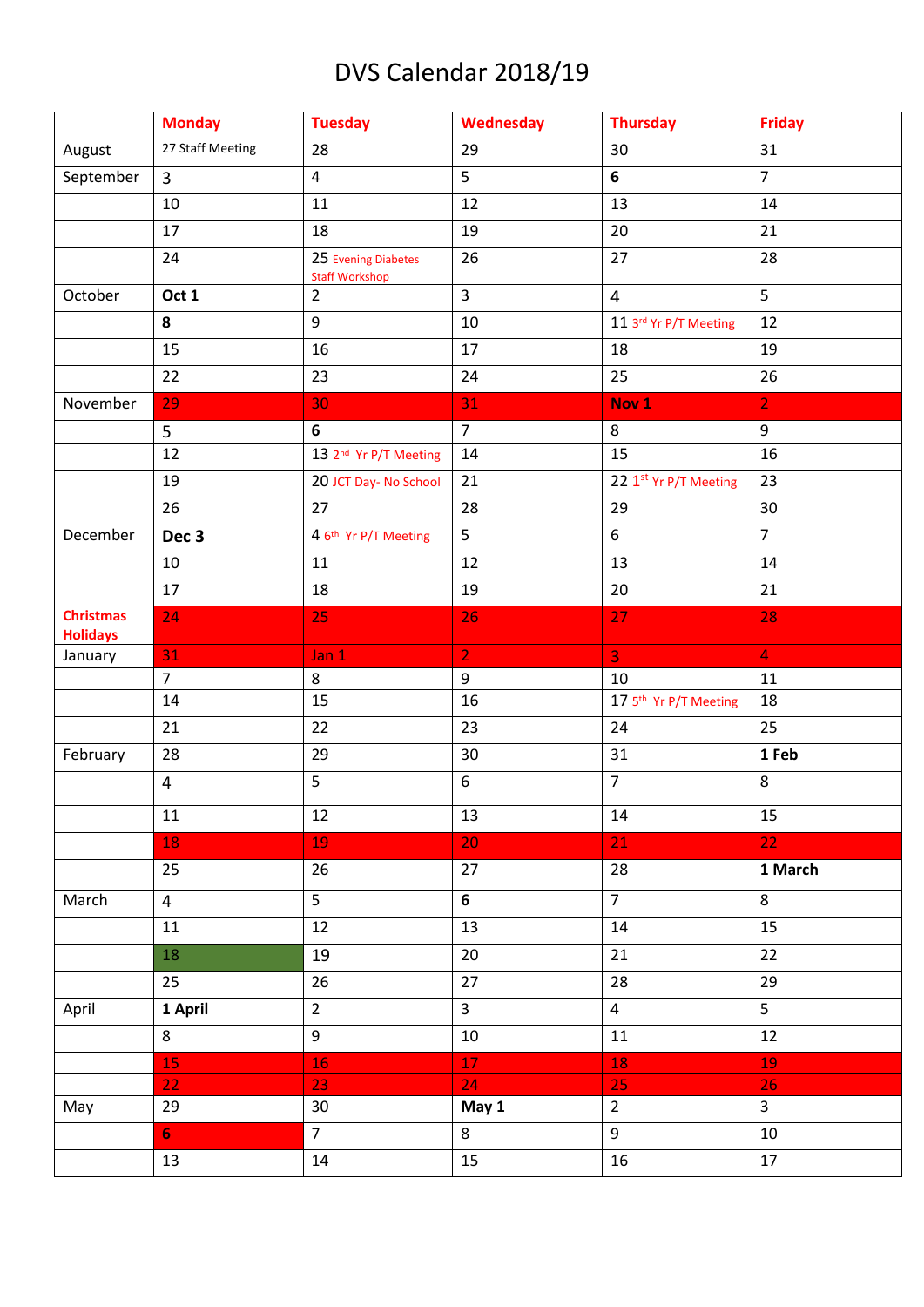## DVS Calendar 2018/19

|                                     | <b>Monday</b>    | <b>Tuesday</b>                               | Wednesday      | <b>Thursday</b>       | <b>Friday</b>  |
|-------------------------------------|------------------|----------------------------------------------|----------------|-----------------------|----------------|
| August                              | 27 Staff Meeting | 28                                           | 29             | 30                    | 31             |
| September                           | $\overline{3}$   | $\overline{4}$                               | 5              | 6                     | $\overline{7}$ |
|                                     | 10               | 11                                           | 12             | 13                    | 14             |
|                                     | 17               | 18                                           | 19             | 20                    | 21             |
|                                     | 24               | 25 Evening Diabetes<br><b>Staff Workshop</b> | 26             | 27                    | 28             |
| October                             | Oct 1            | $\overline{2}$                               | $\overline{3}$ | $\overline{4}$        | 5              |
|                                     | 8                | 9                                            | 10             | 11 3rd Yr P/T Meeting | 12             |
|                                     | 15               | 16                                           | 17             | 18                    | 19             |
|                                     | 22               | 23                                           | 24             | 25                    | 26             |
| November                            | 29               | 30                                           | 31             | Nov <sub>1</sub>      | $\overline{2}$ |
|                                     | 5                | 6                                            | $\overline{7}$ | 8                     | 9              |
|                                     | 12               | 13 2 <sup>nd</sup> Yr P/T Meeting            | 14             | 15                    | 16             |
|                                     | 19               | 20 JCT Day- No School                        | 21             | 22 1st Yr P/T Meeting | 23             |
|                                     | 26               | 27                                           | 28             | 29                    | 30             |
| December                            | Dec <sub>3</sub> | 4 6th Yr P/T Meeting                         | 5              | $6\phantom{.}$        | $\overline{7}$ |
|                                     | 10               | 11                                           | 12             | 13                    | 14             |
|                                     | 17               | 18                                           | 19             | 20                    | 21             |
| <b>Christmas</b><br><b>Holidays</b> | 24               | 25                                           | 26             | 27                    | 28             |
| January                             | 31               | Jan 1                                        | $\overline{2}$ | 3 <sup>°</sup>        | $\overline{4}$ |
|                                     | $\overline{7}$   | 8                                            | 9              | 10                    | 11             |
|                                     | 14               | 15                                           | 16             | 17 5th Yr P/T Meeting | 18             |
|                                     | 21               | 22                                           | 23             | 24                    | 25             |
| February                            | 28               | 29                                           | 30             | 31                    | 1 Feb          |
|                                     | $\overline{4}$   | 5                                            | 6              | $\overline{7}$        | 8              |
|                                     | 11               | 12                                           | 13             | 14                    | 15             |
|                                     | 18               | 19                                           | 20             | 21                    | 22             |
|                                     | 25               | 26                                           | 27             | 28                    | 1 March        |
| March                               | $\overline{4}$   | 5                                            | $6\phantom{a}$ | $\overline{7}$        | 8              |
|                                     | 11               | 12                                           | 13             | 14                    | 15             |
|                                     | 18               | 19                                           | 20             | 21                    | 22             |
|                                     | 25               | 26                                           | 27             | 28                    | 29             |
| April                               | 1 April          | $\overline{2}$                               | $\mathbf{3}$   | $\overline{4}$        | 5              |
|                                     | 8                | 9                                            | 10             | 11                    | 12             |
|                                     | 15               | 16                                           | 17             | 18                    | 19             |
|                                     | 22               | 23                                           | 24             | 25                    | 26             |
| May                                 | 29               | 30                                           | May 1          | $2^{\circ}$           | $\overline{3}$ |
|                                     | 6 <sub>1</sub>   | $\overline{7}$                               | 8              | 9                     | 10             |
|                                     | 13               | 14                                           | 15             | 16                    | 17             |